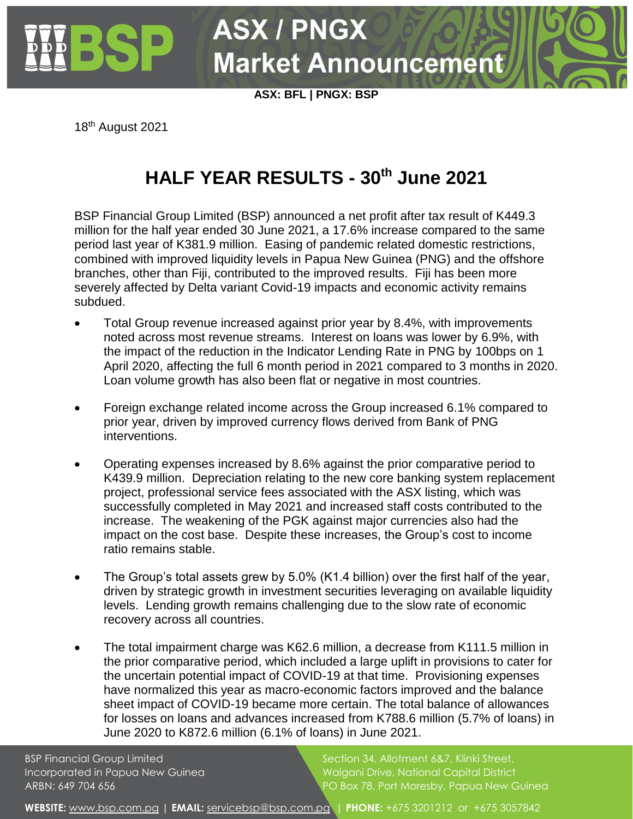

**ASX: BFL | PNGX: BSP**

**Market Announcement** 

**ASX / PNGX** 

18th August 2021

## **HALF YEAR RESULTS - 30th June 2021**

BSP Financial Group Limited (BSP) announced a net profit after tax result of K449.3 million for the half year ended 30 June 2021, a 17.6% increase compared to the same period last year of K381.9 million. Easing of pandemic related domestic restrictions, combined with improved liquidity levels in Papua New Guinea (PNG) and the offshore branches, other than Fiji, contributed to the improved results. Fiji has been more severely affected by Delta variant Covid-19 impacts and economic activity remains subdued.

- Total Group revenue increased against prior year by 8.4%, with improvements noted across most revenue streams. Interest on loans was lower by 6.9%, with the impact of the reduction in the Indicator Lending Rate in PNG by 100bps on 1 April 2020, affecting the full 6 month period in 2021 compared to 3 months in 2020. Loan volume growth has also been flat or negative in most countries.
- Foreign exchange related income across the Group increased 6.1% compared to prior year, driven by improved currency flows derived from Bank of PNG interventions.
- Operating expenses increased by 8.6% against the prior comparative period to K439.9 million. Depreciation relating to the new core banking system replacement project, professional service fees associated with the ASX listing, which was successfully completed in May 2021 and increased staff costs contributed to the increase. The weakening of the PGK against major currencies also had the impact on the cost base. Despite these increases, the Group's cost to income ratio remains stable.
- The Group's total assets grew by 5.0% (K1.4 billion) over the first half of the year, driven by strategic growth in investment securities leveraging on available liquidity levels. Lending growth remains challenging due to the slow rate of economic recovery across all countries.
- The total impairment charge was K62.6 million, a decrease from K111.5 million in the prior comparative period, which included a large uplift in provisions to cater for the uncertain potential impact of COVID-19 at that time. Provisioning expenses have normalized this year as macro-economic factors improved and the balance sheet impact of COVID-19 became more certain. The total balance of allowances for losses on loans and advances increased from K788.6 million (5.7% of loans) in June 2020 to K872.6 million (6.1% of loans) in June 2021.

BSP Financial Group Limited Section 34, Allotment 6&7, Klinki Street, Incorporated in Papua New Guinea Waigani Drive, National Capital District ARBN: 649 704 656 PO Box 78, Port Moresby, Papua New Guinea

WEBSITE: [www.bsp.com.pg](http://www.bsp.com.pg/) | **EMAIL:** [servicebsp@bsp.com.pg](mailto:servicebsp@bsp.com.pg) | PHONE: +675 3201212 or +675 3057842